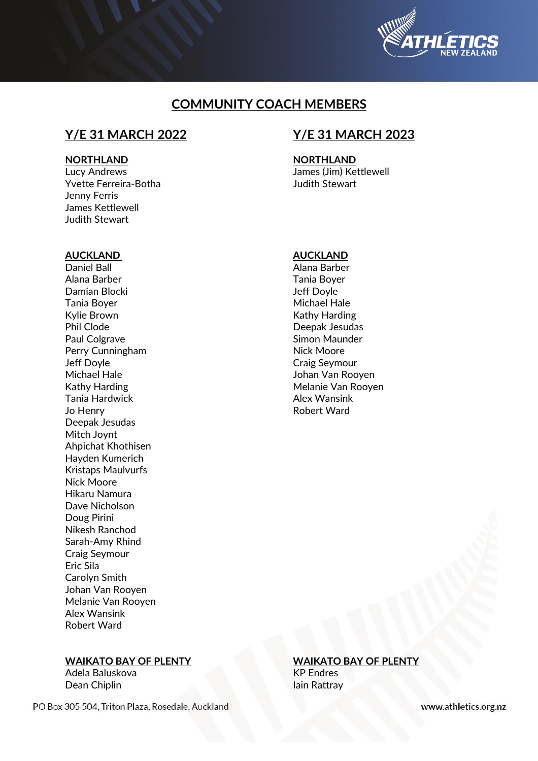

# **COMMUNITY COACH MEMBERS**

### **NORTHLAND NORTHLAND**

Yvette Ferreira-Botha Judith Stewart Jenny Ferris James Kettlewell Judith Stewart

# **Y/E 31 MARCH 2022 Y/E 31 MARCH 2023**

Lucy Andrews James (Jim) Kettlewell

### **AUCKLAND AUCKLAND**

Daniel Ball **Alana Barber** Alana Barber Tania Boyer Damian Blocki Jeff Doyle Tania Boyer Michael Hale Phil Clode Deepak Jesudas Paul Colgrave **Simon Maunder** Perry Cunningham Nick Moore **Jeff Doyle Craig Seymour** Michael Hale **Johan Van Rooyen** Kathy Harding Melanie Van Rooyen Tania Hardwick **Alex Wansink** Jo Henry **No. 2018 Robert Ward** Deepak Jesudas Mitch Joynt Ahpichat Khothisen Hayden Kumerich Kristaps Maulvurfs Nick Moore Hikaru Namura Dave Nicholson Doug Pirini Nikesh Ranchod Sarah-Amy Rhind Craig Seymour Eric Sila Carolyn Smith Johan Van Rooyen Melanie Van Rooyen Alex Wansink Robert Ward

Kathy Harding

## **WAIKATO BAY OF PLENTY WAIKATO BAY OF PLENTY**

Adela Baluskova KP Endres Dean Chiplin **Iain Rattray** 

PO Box 305 504, Triton Plaza, Rosedale, Auckland

www.athletics.org.nz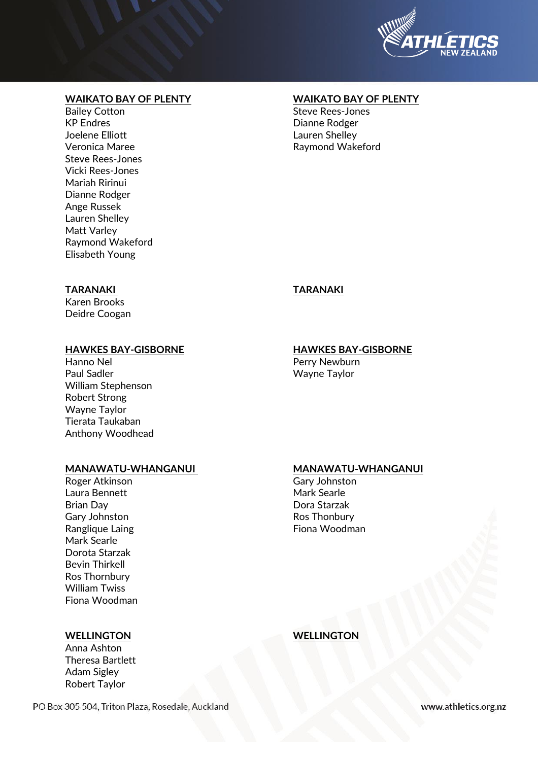

# **WAIKATO BAY OF PLENTY WAIKATO BAY OF PLENTY**

Bailey Cotton **Steve Rees-Jones** Steve Rees-Jones KP Endres **Dianne Rodger** Joelene Elliott Lauren Shelley Steve Rees-Jones Vicki Rees-Jones Mariah Ririnui Dianne Rodger Ange Russek Lauren Shelley Matt Varley Raymond Wakeford Elisabeth Young

Raymond Wakeford

# **TARANAKI TARANAKI**

Karen Brooks Deidre Coogan

# **HAWKES BAY-GISBORNE HAWKES BAY-GISBORNE**

## Hanno Nel **Perry Newburn** Paul Sadler National Communication of the Wayne Taylor William Stephenson Robert Strong Wayne Taylor Tierata Taukaban Anthony Woodhead

# **MANAWATU-WHANGANUI MANAWATU-WHANGANUI**

Laura Bennett **Mark Searle** Brian Day Dora Starzak Gary Johnston **Ros Thonbury** Ros Thonbury Ranglique Laing **Fiona** Woodman Mark Searle Dorota Starzak Bevin Thirkell Ros Thornbury William Twiss Fiona Woodman

Anna Ashton Theresa Bartlett Adam Sigley Robert Taylor

Roger Atkinson Gary Johnston

**WELLINGTON WELLINGTON**

PO Box 305 504, Triton Plaza, Rosedale, Auckland

www.athletics.org.nz